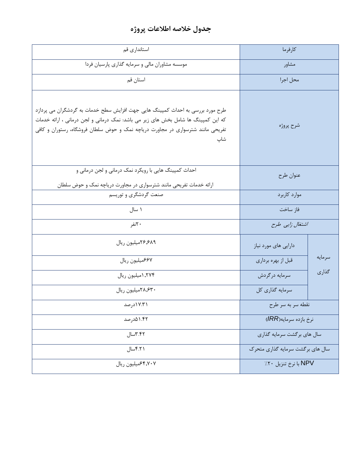## **جدول خالصه اطالعات پروژه**

| استانداری قم                                                                                                                                                                                                                                                | كارفرما                          |        |
|-------------------------------------------------------------------------------------------------------------------------------------------------------------------------------------------------------------------------------------------------------------|----------------------------------|--------|
| موسسه مشاوران مالی و سرمایه گذاری پارسیان فردا                                                                                                                                                                                                              | مشاور                            |        |
| استان قم                                                                                                                                                                                                                                                    | محل اجرا                         |        |
| طرح مورد بررسی به احداث کمپینگ هایی جهت افزایش سطح خدمات به گردشگران می پردازد<br>که این کمپینگ ها شامل بخش های زیر می باشد: نمک درمانی و لجن درمانی ، ارائه خدمات<br>تفریحی مانند شترسواری در مجاورت دریاچه نمک و حوض سلطان فروشگاه، رستوران و کافی<br>شاپ | شرح پروژه                        |        |
| احداث کمپینگ هایی با رویکرد نمک درمانی و لجن درمانی و<br>ارائه خدمات تفریحی مانند شترسواری در مجاورت دریاچه نمک و حوض سلطان                                                                                                                                 | عنوان طرح                        |        |
| صنعت گردشگری و توریسم                                                                                                                                                                                                                                       | موارد كاربرد                     |        |
| ۱ سال                                                                                                                                                                                                                                                       | فاز ساخت                         |        |
| ۲۰نفر                                                                                                                                                                                                                                                       | اشتغال زایبی طرح                 |        |
| ٢۶٫۶۸۹میلیون ریال                                                                                                                                                                                                                                           | دارایی های مورد نیاز             |        |
| ۶۶۷میلیون ریال                                                                                                                                                                                                                                              | قبل از بهره برداري               | سرمايه |
| ۲۷۴٫ (میلیون ریال                                                                                                                                                                                                                                           | سرمايه درگردش                    | گذاری  |
| ٢٨,۶٣٠ميليون ريال                                                                                                                                                                                                                                           | سرمايه گذاري كل                  |        |
| ۱۷.۳۱درصد                                                                                                                                                                                                                                                   | نقطه سر به سر طرح                |        |
| ۱.۴۲ ۵درصد                                                                                                                                                                                                                                                  | نرخ بازده سرمايه(IRR)            |        |
| ٣.۴۲سال                                                                                                                                                                                                                                                     | سال های برگشت سرمایه گذاری       |        |
| ۴.۲۱سال                                                                                                                                                                                                                                                     | سال های برگشت سرمایه گذاری متحرک |        |
| ۶۴٫۷۰۷میلیون ریال                                                                                                                                                                                                                                           | NPV با نرخ تنزيل ٢٠٪             |        |